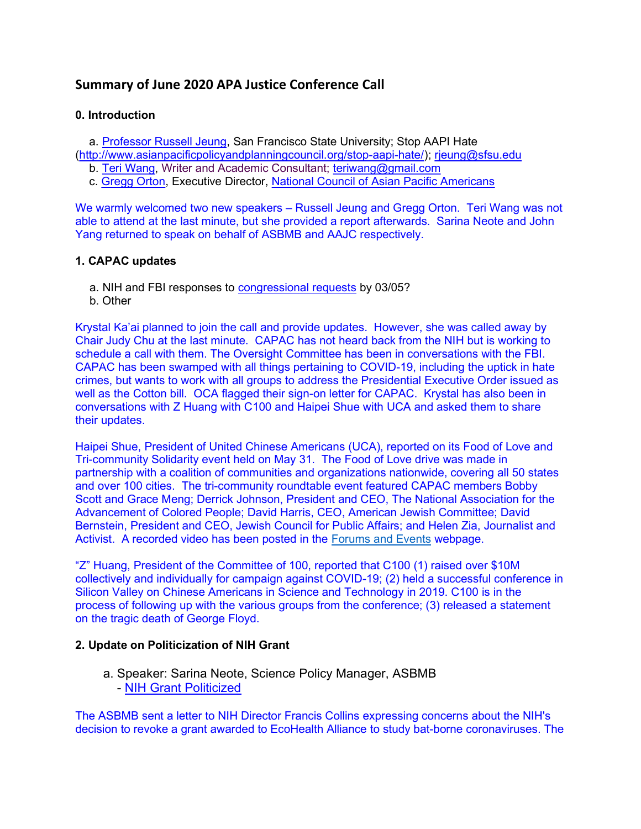# Summary of June 2020 APA Justice Conference Call

#### 0. Introduction

a. Professor Russell Jeung, San Francisco State University; Stop AAPI Hate

(http://www.asianpacificpolicyandplanningcouncil.org/stop-aapi-hate/); rjeung@sfsu.edu

b. Teri Wang, Writer and Academic Consultant; teriwang@gmail.com

c. Gregg Orton, Executive Director, National Council of Asian Pacific Americans

We warmly welcomed two new speakers – Russell Jeung and Gregg Orton. Teri Wang was not able to attend at the last minute, but she provided a report afterwards. Sarina Neote and John Yang returned to speak on behalf of ASBMB and AAJC respectively.

### 1. CAPAC updates

- a. NIH and FBI responses to congressional requests by 03/05?
- b. Other

Krystal Ka'ai planned to join the call and provide updates. However, she was called away by Chair Judy Chu at the last minute. CAPAC has not heard back from the NIH but is working to schedule a call with them. The Oversight Committee has been in conversations with the FBI. CAPAC has been swamped with all things pertaining to COVID-19, including the uptick in hate crimes, but wants to work with all groups to address the Presidential Executive Order issued as well as the Cotton bill. OCA flagged their sign-on letter for CAPAC. Krystal has also been in conversations with Z Huang with C100 and Haipei Shue with UCA and asked them to share their updates.

Haipei Shue, President of United Chinese Americans (UCA), reported on its Food of Love and Tri-community Solidarity event held on May 31. The Food of Love drive was made in partnership with a coalition of communities and organizations nationwide, covering all 50 states and over 100 cities. The tri-community roundtable event featured CAPAC members Bobby Scott and Grace Meng; Derrick Johnson, President and CEO, The National Association for the Advancement of Colored People; David Harris, CEO, American Jewish Committee; David Bernstein, President and CEO, Jewish Council for Public Affairs; and Helen Zia, Journalist and Activist. A recorded video has been posted in the Forums and Events webpage.

"Z" Huang, President of the Committee of 100, reported that C100 (1) raised over \$10M collectively and individually for campaign against COVID-19; (2) held a successful conference in Silicon Valley on Chinese Americans in Science and Technology in 2019. C100 is in the process of following up with the various groups from the conference; (3) released a statement on the tragic death of George Floyd.

#### 2. Update on Politicization of NIH Grant

 a. Speaker: Sarina Neote, Science Policy Manager, ASBMB - NIH Grant Politicized

The ASBMB sent a letter to NIH Director Francis Collins expressing concerns about the NIH's decision to revoke a grant awarded to EcoHealth Alliance to study bat-borne coronaviruses. The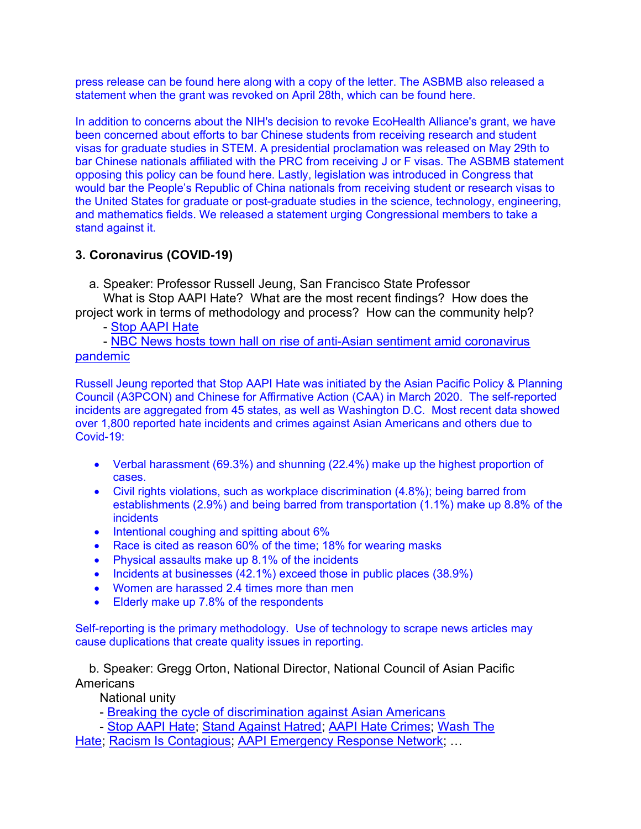press release can be found here along with a copy of the letter. The ASBMB also released a statement when the grant was revoked on April 28th, which can be found here.

In addition to concerns about the NIH's decision to revoke EcoHealth Alliance's grant, we have been concerned about efforts to bar Chinese students from receiving research and student visas for graduate studies in STEM. A presidential proclamation was released on May 29th to bar Chinese nationals affiliated with the PRC from receiving J or F visas. The ASBMB statement opposing this policy can be found here. Lastly, legislation was introduced in Congress that would bar the People's Republic of China nationals from receiving student or research visas to the United States for graduate or post-graduate studies in the science, technology, engineering, and mathematics fields. We released a statement urging Congressional members to take a stand against it.

### 3. Coronavirus (COVID-19)

a. Speaker: Professor Russell Jeung, San Francisco State Professor

 What is Stop AAPI Hate? What are the most recent findings? How does the project work in terms of methodology and process? How can the community help?

- Stop AAPI Hate

- NBC News hosts town hall on rise of anti-Asian sentiment amid coronavirus pandemic

Russell Jeung reported that Stop AAPI Hate was initiated by the Asian Pacific Policy & Planning Council (A3PCON) and Chinese for Affirmative Action (CAA) in March 2020. The self-reported incidents are aggregated from 45 states, as well as Washington D.C. Most recent data showed over 1,800 reported hate incidents and crimes against Asian Americans and others due to Covid-19:

- Verbal harassment (69.3%) and shunning (22.4%) make up the highest proportion of cases.
- Civil rights violations, such as workplace discrimination (4.8%); being barred from establishments (2.9%) and being barred from transportation (1.1%) make up 8.8% of the incidents
- $\bullet$  Intentional coughing and spitting about 6%
- Race is cited as reason 60% of the time; 18% for wearing masks
- Physical assaults make up 8.1% of the incidents
- Incidents at businesses (42.1%) exceed those in public places (38.9%)
- Women are harassed 2.4 times more than men
- **Elderly make up 7.8% of the respondents**

Self-reporting is the primary methodology. Use of technology to scrape news articles may cause duplications that create quality issues in reporting.

b. Speaker: Gregg Orton, National Director, National Council of Asian Pacific Americans

National unity

- Breaking the cycle of discrimination against Asian Americans

- Stop AAPI Hate; Stand Against Hatred; AAPI Hate Crimes; Wash The

Hate; Racism Is Contagious; AAPI Emergency Response Network; …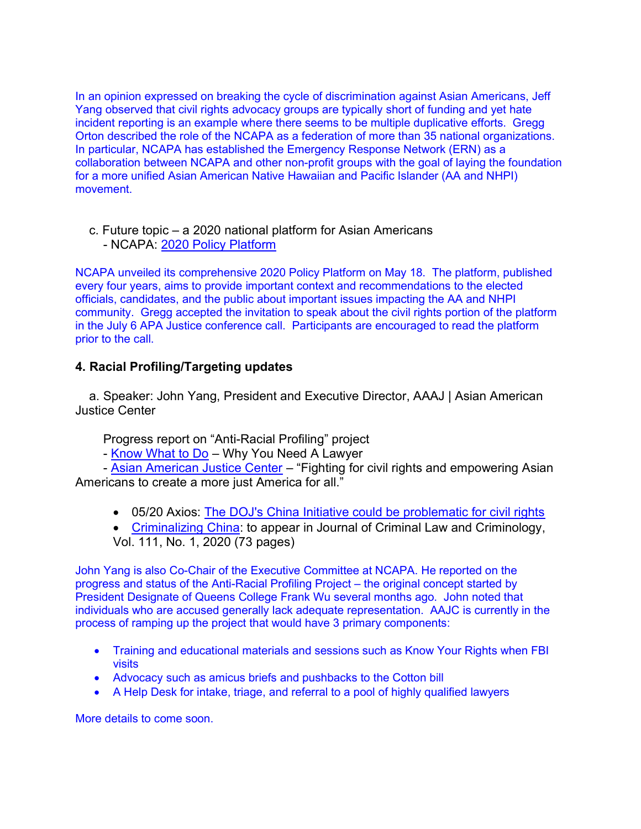In an opinion expressed on breaking the cycle of discrimination against Asian Americans, Jeff Yang observed that civil rights advocacy groups are typically short of funding and yet hate incident reporting is an example where there seems to be multiple duplicative efforts. Gregg Orton described the role of the NCAPA as a federation of more than 35 national organizations. In particular, NCAPA has established the Emergency Response Network (ERN) as a collaboration between NCAPA and other non-profit groups with the goal of laying the foundation for a more unified Asian American Native Hawaiian and Pacific Islander (AA and NHPI) movement.

### c. Future topic – a 2020 national platform for Asian Americans - NCAPA: 2020 Policy Platform

NCAPA unveiled its comprehensive 2020 Policy Platform on May 18. The platform, published every four years, aims to provide important context and recommendations to the elected officials, candidates, and the public about important issues impacting the AA and NHPI community. Gregg accepted the invitation to speak about the civil rights portion of the platform in the July 6 APA Justice conference call. Participants are encouraged to read the platform prior to the call.

## 4. Racial Profiling/Targeting updates

a. Speaker: John Yang, President and Executive Director, AAAJ | Asian American Justice Center

Progress report on "Anti-Racial Profiling" project

- Know What to Do – Why You Need A Lawyer

 - Asian American Justice Center – "Fighting for civil rights and empowering Asian Americans to create a more just America for all."

- 05/20 Axios: The DOJ's China Initiative could be problematic for civil rights
- Criminalizing China: to appear in Journal of Criminal Law and Criminology, Vol. 111, No. 1, 2020 (73 pages)

John Yang is also Co-Chair of the Executive Committee at NCAPA. He reported on the progress and status of the Anti-Racial Profiling Project – the original concept started by President Designate of Queens College Frank Wu several months ago. John noted that individuals who are accused generally lack adequate representation. AAJC is currently in the process of ramping up the project that would have 3 primary components:

- Training and educational materials and sessions such as Know Your Rights when FBI visits
- Advocacy such as amicus briefs and pushbacks to the Cotton bill
- A Help Desk for intake, triage, and referral to a pool of highly qualified lawyers

More details to come soon.